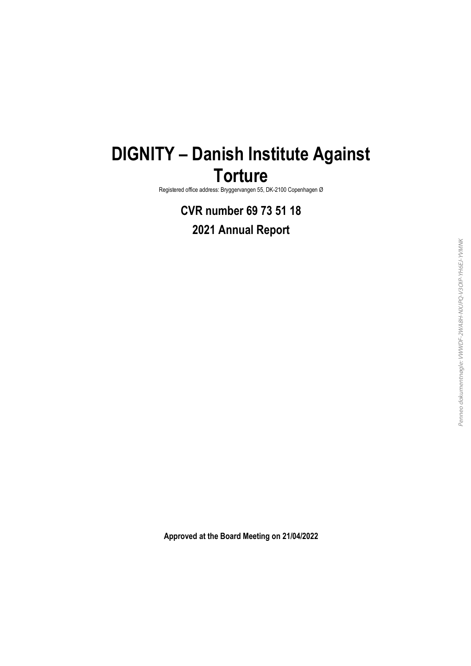# **DIGNITY – Danish Institute Against Torture**

Registered office address: Bryggervangen 55, DK-2100 Copenhagen Ø

**CVR number 69 73 51 18 2021 Annual Report** 

**Approved at the Board Meeting on 21/04/2022**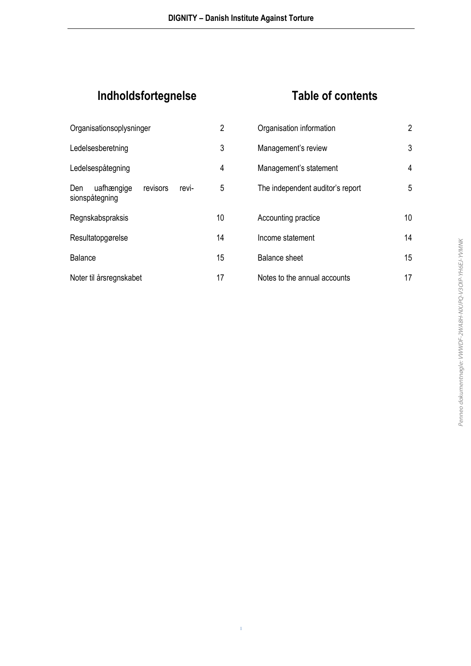# **Indholdsfortegnelse**

# **Table of contents**

| Organisationsoplysninger            | 2                 |    |
|-------------------------------------|-------------------|----|
| Ledelsesberetning                   | 3                 |    |
| Ledelsespåtegning                   |                   | 4  |
| uafhængige<br>Den<br>sionspåtegning | revisors<br>revi- | 5  |
| Regnskabspraksis                    | 10                |    |
| Resultatopgørelse                   |                   | 14 |
| <b>Balance</b>                      | 15                |    |
| Noter til årsregnskabet             |                   | 17 |

| Organisation information         |    |
|----------------------------------|----|
| Management's review              | 3  |
| Management's statement           | 4  |
| The independent auditor's report | 5  |
|                                  |    |
| Accounting practice              | 10 |
| Income statement                 | 14 |
| Balance sheet                    | 15 |
| Notes to the annual accounts     |    |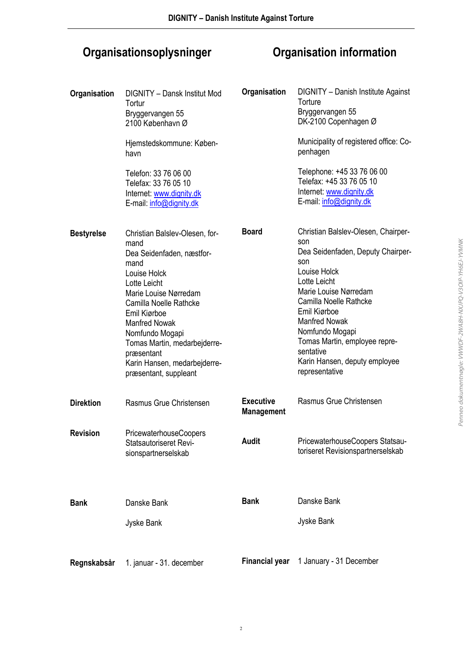# **Organisationsoplysninger Organisation information**

| Organisation      | <b>DIGNITY - Dansk Institut Mod</b><br>Tortur<br>Bryggervangen 55<br>2100 København Ø                                                                                                                                                                                                                                            | Organisation                          | DIGNITY - Danish Institute Against<br>Torture<br>Bryggervangen 55<br>DK-2100 Copenhagen Ø                                                                                                                                                                                                                                             |
|-------------------|----------------------------------------------------------------------------------------------------------------------------------------------------------------------------------------------------------------------------------------------------------------------------------------------------------------------------------|---------------------------------------|---------------------------------------------------------------------------------------------------------------------------------------------------------------------------------------------------------------------------------------------------------------------------------------------------------------------------------------|
|                   | Hjemstedskommune: Køben-<br>havn                                                                                                                                                                                                                                                                                                 |                                       | Municipality of registered office: Co-<br>penhagen                                                                                                                                                                                                                                                                                    |
|                   | Telefon: 33 76 06 00<br>Telefax: 33 76 05 10<br>Internet: www.dignity.dk<br>E-mail: info@dignity.dk                                                                                                                                                                                                                              |                                       | Telephone: +45 33 76 06 00<br>Telefax: +45 33 76 05 10<br>Internet: www.dignity.dk<br>E-mail: info@dignity.dk                                                                                                                                                                                                                         |
| <b>Bestyrelse</b> | Christian Balslev-Olesen, for-<br>mand<br>Dea Seidenfaden, næstfor-<br>mand<br>Louise Holck<br>Lotte Leicht<br>Marie Louise Nørredam<br>Camilla Noelle Rathcke<br>Emil Kiørboe<br><b>Manfred Nowak</b><br>Nomfundo Mogapi<br>Tomas Martin, medarbejderre-<br>præsentant<br>Karin Hansen, medarbejderre-<br>præsentant, suppleant | <b>Board</b>                          | Christian Balslev-Olesen, Chairper-<br>son<br>Dea Seidenfaden, Deputy Chairper-<br>son<br>Louise Holck<br>Lotte Leicht<br>Marie Louise Nørredam<br>Camilla Noelle Rathcke<br>Emil Kiørboe<br><b>Manfred Nowak</b><br>Nomfundo Mogapi<br>Tomas Martin, employee repre-<br>sentative<br>Karin Hansen, deputy employee<br>representative |
| <b>Direktion</b>  | Rasmus Grue Christensen                                                                                                                                                                                                                                                                                                          | <b>Executive</b><br><b>Management</b> | Rasmus Grue Christensen                                                                                                                                                                                                                                                                                                               |
| <b>Revision</b>   | <b>PricewaterhouseCoopers</b><br><b>Statsautoriseret Revi-</b><br>sionspartnerselskab                                                                                                                                                                                                                                            | <b>Audit</b>                          | PricewaterhouseCoopers Statsau-<br>toriseret Revisionspartnerselskab                                                                                                                                                                                                                                                                  |
| <b>Bank</b>       | Danske Bank                                                                                                                                                                                                                                                                                                                      | <b>Bank</b>                           | Danske Bank                                                                                                                                                                                                                                                                                                                           |
|                   | Jyske Bank                                                                                                                                                                                                                                                                                                                       |                                       | Jyske Bank                                                                                                                                                                                                                                                                                                                            |
| Regnskabsår       | 1. januar - 31. december                                                                                                                                                                                                                                                                                                         | <b>Financial year</b>                 | 1 January - 31 December                                                                                                                                                                                                                                                                                                               |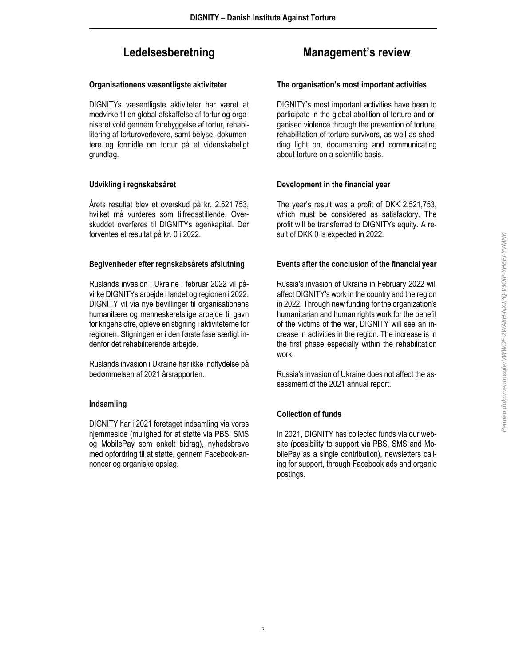### **Ledelsesberetning**

#### **Organisationens væsentligste aktiviteter**

DIGNITYs væsentligste aktiviteter har været at medvirke til en global afskaffelse af tortur og organiseret vold gennem forebyggelse af tortur, rehabilitering af torturoverlevere, samt belyse, dokumentere og formidle om tortur på et videnskabeligt grundlag.

#### **Udvikling i regnskabsåret**

Årets resultat blev et overskud på kr. 2.521.753, hvilket må vurderes som tilfredsstillende. Overskuddet overføres til DIGNITYs egenkapital. Der forventes et resultat på kr. 0 i 2022.

#### **Begivenheder efter regnskabsårets afslutning**

Ruslands invasion i Ukraine i februar 2022 vil påvirke DIGNITYs arbejde i landet og regionen i 2022. DIGNITY vil via nye bevillinger til organisationens humanitære og menneskeretslige arbejde til gavn for krigens ofre, opleve en stigning i aktiviteterne for regionen. Stigningen er i den første fase særligt indenfor det rehabiliterende arbejde.

Ruslands invasion i Ukraine har ikke indflydelse på bedømmelsen af 2021 årsrapporten.

#### **Indsamling**

DIGNITY har i 2021 foretaget indsamling via vores hjemmeside (mulighed for at støtte via PBS, SMS og MobilePay som enkelt bidrag), nyhedsbreve med opfordring til at støtte, gennem Facebook-annoncer og organiske opslag.

### **Management's review**

#### **The organisation's most important activities**

DIGNITY's most important activities have been to participate in the global abolition of torture and organised violence through the prevention of torture, rehabilitation of torture survivors, as well as shedding light on, documenting and communicating about torture on a scientific basis.

#### **Development in the financial year**

The year's result was a profit of DKK 2,521,753, which must be considered as satisfactory. The profit will be transferred to DIGNITYs equity. A result of DKK 0 is expected in 2022.

#### **Events after the conclusion of the financial year**

Russia's invasion of Ukraine in February 2022 will affect DIGNITY's work in the country and the region in 2022. Through new funding for the organization's humanitarian and human rights work for the benefit of the victims of the war, DIGNITY will see an increase in activities in the region. The increase is in the first phase especially within the rehabilitation work.

Russia's invasion of Ukraine does not affect the assessment of the 2021 annual report.

#### **Collection of funds**

In 2021, DIGNITY has collected funds via our website (possibility to support via PBS, SMS and MobilePay as a single contribution), newsletters calling for support, through Facebook ads and organic postings.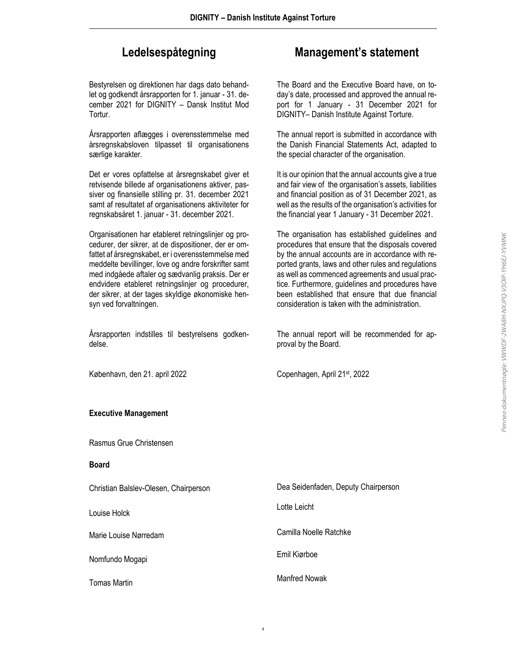### **Ledelsespåtegning**

Bestyrelsen og direktionen har dags dato behandlet og godkendt årsrapporten for 1. januar - 31. december 2021 for DIGNITY – Dansk Institut Mod Tortur.

Årsrapporten aflægges i overensstemmelse med årsregnskabsloven tilpasset til organisationens særlige karakter.

Det er vores opfattelse at årsregnskabet giver et retvisende billede af organisationens aktiver, passiver og finansielle stilling pr. 31. december 2021 samt af resultatet af organisationens aktiviteter for regnskabsåret 1. januar - 31. december 2021.

Organisationen har etableret retningslinjer og procedurer, der sikrer, at de dispositioner, der er omfattet af årsregnskabet, er i overensstemmelse med meddelte bevillinger, love og andre forskrifter samt med indgåede aftaler og sædvanlig praksis. Der er endvidere etableret retningslinjer og procedurer, der sikrer, at der tages skyldige økonomiske hensyn ved forvaltningen.

Årsrapporten indstilles til bestyrelsens godkendelse.

København, den 21. april 2022

#### **Executive Management**

Rasmus Grue Christensen

#### **Board**

Christian Balslev-Olesen, Chairperson

Louise Holck

Marie Louise Nørredam

Nomfundo Mogapi

Tomas Martin

### **Management's statement**

The Board and the Executive Board have, on today's date, processed and approved the annual report for 1 January - 31 December 2021 for DIGNITY– Danish Institute Against Torture.

The annual report is submitted in accordance with the Danish Financial Statements Act, adapted to the special character of the organisation.

It is our opinion that the annual accounts give a true and fair view of the organisation's assets, liabilities and financial position as of 31 December 2021, as well as the results of the organisation's activities for the financial year 1 January - 31 December 2021.

The organisation has established guidelines and procedures that ensure that the disposals covered by the annual accounts are in accordance with reported grants, laws and other rules and regulations as well as commenced agreements and usual practice. Furthermore, guidelines and procedures have been established that ensure that due financial consideration is taken with the administration.

The annual report will be recommended for approval by the Board.

Copenhagen, April 21st, 2022

Dea Seidenfaden, Deputy Chairperson

Lotte Leicht

Camilla Noelle Ratchke

Emil Kiørboe

Manfred Nowak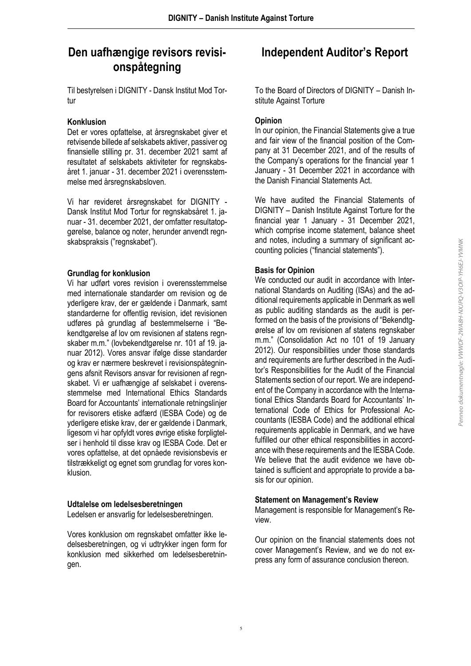### **Den uafhængige revisors revisionspåtegning**

Til bestyrelsen i DIGNITY - Dansk Institut Mod Tortur

#### **Konklusion**

Det er vores opfattelse, at årsregnskabet giver et retvisende billede af selskabets aktiver, passiver og finansielle stilling pr. 31. december 2021 samt af resultatet af selskabets aktiviteter for regnskabsåret 1. januar - 31. december 2021 i overensstemmelse med årsregnskabsloven.

Vi har revideret årsregnskabet for DIGNITY - Dansk Institut Mod Tortur for regnskabsåret 1. januar - 31. december 2021, der omfatter resultatopgørelse, balance og noter, herunder anvendt regnskabspraksis ("regnskabet").

#### **Grundlag for konklusion**

Vi har udført vores revision i overensstemmelse med internationale standarder om revision og de yderligere krav, der er gældende i Danmark, samt standarderne for offentlig revision, idet revisionen udføres på grundlag af bestemmelserne i "Bekendtgørelse af lov om revisionen af statens regnskaber m.m." (lovbekendtgørelse nr. 101 af 19. januar 2012). Vores ansvar ifølge disse standarder og krav er nærmere beskrevet i revisionspåtegningens afsnit Revisors ansvar for revisionen af regnskabet. Vi er uafhængige af selskabet i overensstemmelse med International Ethics Standards Board for Accountants' internationale retningslinjer for revisorers etiske adfærd (IESBA Code) og de yderligere etiske krav, der er gældende i Danmark, ligesom vi har opfyldt vores øvrige etiske forpligtelser i henhold til disse krav og IESBA Code. Det er vores opfattelse, at det opnåede revisionsbevis er tilstrækkeligt og egnet som grundlag for vores konklusion.

#### **Udtalelse om ledelsesberetningen**

Ledelsen er ansvarlig for ledelsesberetningen.

Vores konklusion om regnskabet omfatter ikke ledelsesberetningen, og vi udtrykker ingen form for konklusion med sikkerhed om ledelsesberetningen.

### **Independent Auditor's Report**

To the Board of Directors of DIGNITY – Danish Institute Against Torture

#### **Opinion**

In our opinion, the Financial Statements give a true and fair view of the financial position of the Company at 31 December 2021, and of the results of the Company's operations for the financial year 1 January - 31 December 2021 in accordance with the Danish Financial Statements Act.

We have audited the Financial Statements of DIGNITY – Danish Institute Against Torture for the financial year 1 January - 31 December 2021, which comprise income statement, balance sheet and notes, including a summary of significant accounting policies ("financial statements").

#### **Basis for Opinion**

We conducted our audit in accordance with International Standards on Auditing (ISAs) and the additional requirements applicable in Denmark as well as public auditing standards as the audit is performed on the basis of the provisions of "Bekendtgørelse af lov om revisionen af statens regnskaber m.m." (Consolidation Act no 101 of 19 January 2012). Our responsibilities under those standards and requirements are further described in the Auditor's Responsibilities for the Audit of the Financial Statements section of our report. We are independent of the Company in accordance with the International Ethics Standards Board for Accountants' International Code of Ethics for Professional Accountants (IESBA Code) and the additional ethical requirements applicable in Denmark, and we have fulfilled our other ethical responsibilities in accordance with these requirements and the IESBA Code. We believe that the audit evidence we have obtained is sufficient and appropriate to provide a basis for our opinion.

#### **Statement on Management's Review**

Management is responsible for Management's Review.

Our opinion on the financial statements does not cover Management's Review, and we do not express any form of assurance conclusion thereon.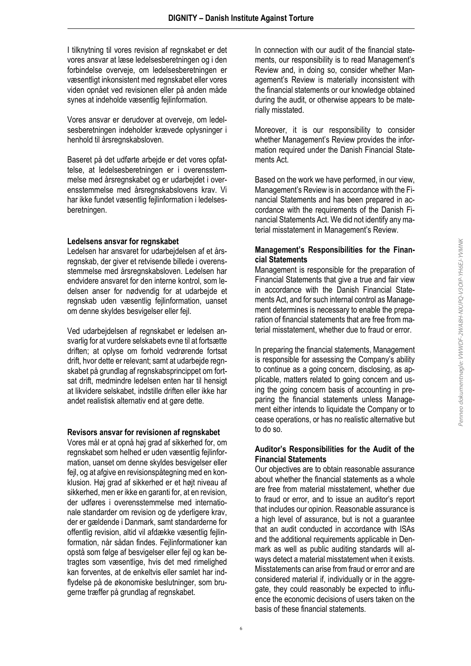I tilknytning til vores revision af regnskabet er det vores ansvar at læse ledelsesberetningen og i den forbindelse overveje, om ledelsesberetningen er væsentligt inkonsistent med regnskabet eller vores viden opnået ved revisionen eller på anden måde synes at indeholde væsentlig fejlinformation.

Vores ansvar er derudover at overveje, om ledelsesberetningen indeholder krævede oplysninger i henhold til årsregnskabsloven.

Baseret på det udførte arbejde er det vores opfattelse, at ledelsesberetningen er i overensstemmelse med årsregnskabet og er udarbejdet i overensstemmelse med årsregnskabslovens krav. Vi har ikke fundet væsentlig fejlinformation i ledelsesberetningen.

#### **Ledelsens ansvar for regnskabet**

Ledelsen har ansvaret for udarbejdelsen af et årsregnskab, der giver et retvisende billede i overensstemmelse med årsregnskabsloven. Ledelsen har endvidere ansvaret for den interne kontrol, som ledelsen anser for nødvendig for at udarbejde et regnskab uden væsentlig fejlinformation, uanset om denne skyldes besvigelser eller fejl.

Ved udarbejdelsen af regnskabet er ledelsen ansvarlig for at vurdere selskabets evne til at fortsætte driften; at oplyse om forhold vedrørende fortsat drift, hvor dette er relevant; samt at udarbejde regnskabet på grundlag af regnskabsprincippet om fortsat drift, medmindre ledelsen enten har til hensigt at likvidere selskabet, indstille driften eller ikke har andet realistisk alternativ end at gøre dette.

#### **Revisors ansvar for revisionen af regnskabet**

Vores mål er at opnå høj grad af sikkerhed for, om regnskabet som helhed er uden væsentlig fejlinformation, uanset om denne skyldes besvigelser eller fejl, og at afgive en revisionspåtegning med en konklusion. Høj grad af sikkerhed er et højt niveau af sikkerhed, men er ikke en garanti for, at en revision, der udføres i overensstemmelse med internationale standarder om revision og de yderligere krav, der er gældende i Danmark, samt standarderne for offentlig revision, altid vil afdække væsentlig fejlinformation, når sådan findes. Fejlinformationer kan opstå som følge af besvigelser eller fejl og kan betragtes som væsentlige, hvis det med rimelighed kan forventes, at de enkeltvis eller samlet har indflydelse på de økonomiske beslutninger, som brugerne træffer på grundlag af regnskabet.

In connection with our audit of the financial statements, our responsibility is to read Management's Review and, in doing so, consider whether Management's Review is materially inconsistent with the financial statements or our knowledge obtained during the audit, or otherwise appears to be materially misstated.

Moreover, it is our responsibility to consider whether Management's Review provides the information required under the Danish Financial Statements Act.

Based on the work we have performed, in our view, Management's Review is in accordance with the Financial Statements and has been prepared in accordance with the requirements of the Danish Financial Statements Act. We did not identify any material misstatement in Management's Review.

#### **Management's Responsibilities for the Financial Statements**

Management is responsible for the preparation of Financial Statements that give a true and fair view in accordance with the Danish Financial Statements Act, and for such internal control as Management determines is necessary to enable the preparation of financial statements that are free from material misstatement, whether due to fraud or error.

In preparing the financial statements, Management is responsible for assessing the Company's ability to continue as a going concern, disclosing, as applicable, matters related to going concern and using the going concern basis of accounting in preparing the financial statements unless Management either intends to liquidate the Company or to cease operations, or has no realistic alternative but to do so.

#### **Auditor's Responsibilities for the Audit of the Financial Statements**

Our objectives are to obtain reasonable assurance about whether the financial statements as a whole are free from material misstatement, whether due to fraud or error, and to issue an auditor's report that includes our opinion. Reasonable assurance is a high level of assurance, but is not a guarantee that an audit conducted in accordance with ISAs and the additional requirements applicable in Denmark as well as public auditing standards will always detect a material misstatement when it exists. Misstatements can arise from fraud or error and are considered material if, individually or in the aggregate, they could reasonably be expected to influence the economic decisions of users taken on the basis of these financial statements.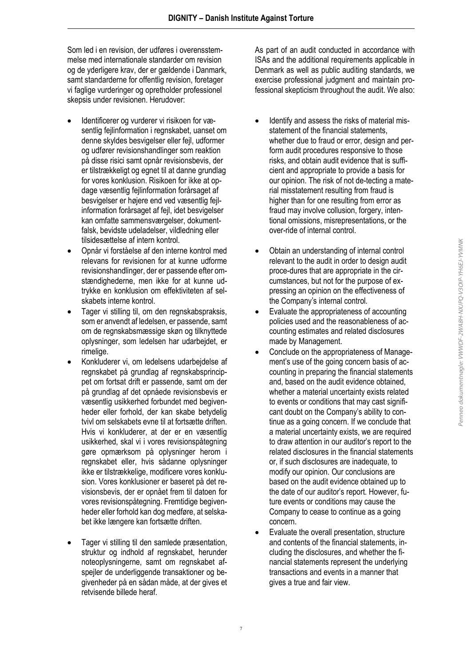Som led i en revision, der udføres i overensstemmelse med internationale standarder om revision og de yderligere krav, der er gældende i Danmark, samt standarderne for offentlig revision, foretager vi faglige vurderinger og opretholder professionel skepsis under revisionen. Herudover:

- Identificerer og vurderer vi risikoen for væsentlig fejlinformation i regnskabet, uanset om denne skyldes besvigelser eller fejl, udformer og udfører revisionshandlinger som reaktion på disse risici samt opnår revisionsbevis, der er tilstrækkeligt og egnet til at danne grundlag for vores konklusion. Risikoen for ikke at opdage væsentlig fejlinformation forårsaget af besvigelser er højere end ved væsentlig fejlinformation forårsaget af fejl, idet besvigelser kan omfatte sammensværgelser, dokumentfalsk, bevidste udeladelser, vildledning eller tilsidesættelse af intern kontrol.
- Opnår vi forståelse af den interne kontrol med relevans for revisionen for at kunne udforme revisionshandlinger, der er passende efter omstændighederne, men ikke for at kunne udtrykke en konklusion om effektiviteten af selskabets interne kontrol.
- Tager vi stilling til, om den regnskabspraksis, som er anvendt af ledelsen, er passende, samt om de regnskabsmæssige skøn og tilknyttede oplysninger, som ledelsen har udarbejdet, er rimelige.
- Konkluderer vi, om ledelsens udarbejdelse af regnskabet på grundlag af regnskabsprincippet om fortsat drift er passende, samt om der på grundlag af det opnåede revisionsbevis er væsentlig usikkerhed forbundet med begivenheder eller forhold, der kan skabe betydelig tvivl om selskabets evne til at fortsætte driften. Hvis vi konkluderer, at der er en væsentlig usikkerhed, skal vi i vores revisionspåtegning gøre opmærksom på oplysninger herom i regnskabet eller, hvis sådanne oplysninger ikke er tilstrækkelige, modificere vores konklusion. Vores konklusioner er baseret på det revisionsbevis, der er opnået frem til datoen for vores revisionspåtegning. Fremtidige begivenheder eller forhold kan dog medføre, at selskabet ikke længere kan fortsætte driften.
- Tager vi stilling til den samlede præsentation, struktur og indhold af regnskabet, herunder noteoplysningerne, samt om regnskabet afspejler de underliggende transaktioner og begivenheder på en sådan måde, at der gives et retvisende billede heraf.

As part of an audit conducted in accordance with ISAs and the additional requirements applicable in Denmark as well as public auditing standards, we exercise professional judgment and maintain professional skepticism throughout the audit. We also:

- Identify and assess the risks of material misstatement of the financial statements, whether due to fraud or error, design and perform audit procedures responsive to those risks, and obtain audit evidence that is sufficient and appropriate to provide a basis for our opinion. The risk of not de-tecting a material misstatement resulting from fraud is higher than for one resulting from error as fraud may involve collusion, forgery, intentional omissions, misrepresentations, or the over-ride of internal control.
- Obtain an understanding of internal control relevant to the audit in order to design audit proce-dures that are appropriate in the circumstances, but not for the purpose of expressing an opinion on the effectiveness of the Company's internal control.
- Evaluate the appropriateness of accounting policies used and the reasonableness of accounting estimates and related disclosures made by Management.
- Conclude on the appropriateness of Management's use of the going concern basis of accounting in preparing the financial statements and, based on the audit evidence obtained, whether a material uncertainty exists related to events or conditions that may cast significant doubt on the Company's ability to continue as a going concern. If we conclude that a material uncertainty exists, we are required to draw attention in our auditor's report to the related disclosures in the financial statements or, if such disclosures are inadequate, to modify our opinion. Our conclusions are based on the audit evidence obtained up to the date of our auditor's report. However, future events or conditions may cause the Company to cease to continue as a going concern.
- Evaluate the overall presentation, structure and contents of the financial statements, including the disclosures, and whether the financial statements represent the underlying transactions and events in a manner that gives a true and fair view.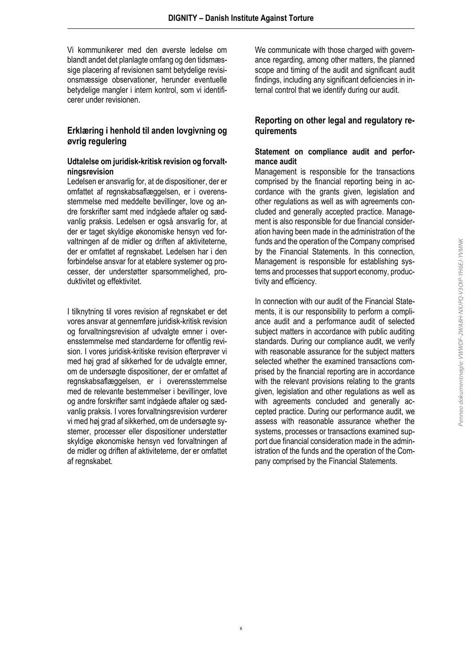8

Vi kommunikerer med den øverste ledelse om blandt andet det planlagte omfang og den tidsmæssige placering af revisionen samt betydelige revisionsmæssige observationer, herunder eventuelle betydelige mangler i intern kontrol, som vi identificerer under revisionen.

#### **Erklæring i henhold til anden lovgivning og øvrig regulering**

#### **Udtalelse om juridisk-kritisk revision og forvaltningsrevision**

Ledelsen er ansvarlig for, at de dispositioner, der er omfattet af regnskabsaflæggelsen, er i overensstemmelse med meddelte bevillinger, love og andre forskrifter samt med indgåede aftaler og sædvanlig praksis. Ledelsen er også ansvarlig for, at der er taget skyldige økonomiske hensyn ved forvaltningen af de midler og driften af aktiviteterne, der er omfattet af regnskabet. Ledelsen har i den forbindelse ansvar for at etablere systemer og processer, der understøtter sparsommelighed, produktivitet og effektivitet.

I tilknytning til vores revision af regnskabet er det vores ansvar at gennemføre juridisk-kritisk revision og forvaltningsrevision af udvalgte emner i overensstemmelse med standarderne for offentlig revision. I vores juridisk-kritiske revision efterprøver vi med høj grad af sikkerhed for de udvalgte emner, om de undersøgte dispositioner, der er omfattet af regnskabsaflæggelsen, er i overensstemmelse med de relevante bestemmelser i bevillinger, love og andre forskrifter samt indgåede aftaler og sædvanlig praksis. I vores forvaltningsrevision vurderer vi med høj grad af sikkerhed, om de undersøgte systemer, processer eller dispositioner understøtter skyldige økonomiske hensyn ved forvaltningen af de midler og driften af aktiviteterne, der er omfattet af regnskabet.

We communicate with those charged with governance regarding, among other matters, the planned scope and timing of the audit and significant audit findings, including any significant deficiencies in internal control that we identify during our audit.

#### **Reporting on other legal and regulatory requirements**

#### **Statement on compliance audit and performance audit**

Management is responsible for the transactions comprised by the financial reporting being in accordance with the grants given, legislation and other regulations as well as with agreements concluded and generally accepted practice. Management is also responsible for due financial consideration having been made in the administration of the funds and the operation of the Company comprised by the Financial Statements. In this connection, Management is responsible for establishing systems and processes that support economy, productivity and efficiency.

In connection with our audit of the Financial Statements, it is our responsibility to perform a compliance audit and a performance audit of selected subject matters in accordance with public auditing standards. During our compliance audit, we verify with reasonable assurance for the subject matters selected whether the examined transactions comprised by the financial reporting are in accordance with the relevant provisions relating to the grants given, legislation and other regulations as well as with agreements concluded and generally accepted practice. During our performance audit, we assess with reasonable assurance whether the systems, processes or transactions examined support due financial consideration made in the administration of the funds and the operation of the Company comprised by the Financial Statements.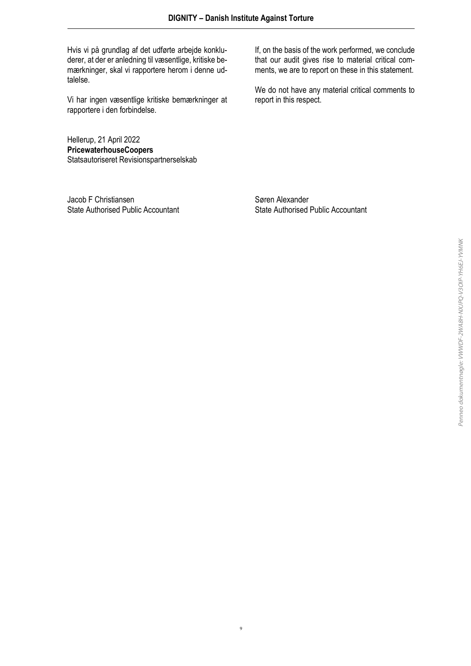9

Hvis vi på grundlag af det udførte arbejde konkluderer, at der er anledning til væsentlige, kritiske bemærkninger, skal vi rapportere herom i denne udtalelse.

Vi har ingen væsentlige kritiske bemærkninger at rapportere i den forbindelse.

Hellerup, 21 April 2022 **PricewaterhouseCoopers**  Statsautoriseret Revisionspartnerselskab

Jacob F Christiansen State Authorised Public Accountant If, on the basis of the work performed, we conclude that our audit gives rise to material critical comments, we are to report on these in this statement.

We do not have any material critical comments to report in this respect.

Søren Alexander State Authorised Public Accountant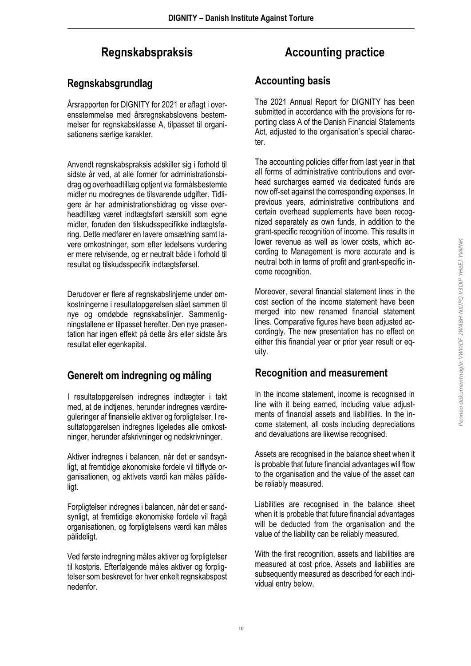### **Regnskabspraksis**

### **Regnskabsgrundlag**

Årsrapporten for DIGNITY for 2021 er aflagt i overensstemmelse med årsregnskabslovens bestemmelser for regnskabsklasse A, tilpasset til organisationens særlige karakter.

Anvendt regnskabspraksis adskiller sig i forhold til sidste år ved, at alle former for administrationsbidrag og overheadtillæg optjent via formålsbestemte midler nu modregnes de tilsvarende udgifter. Tidligere år har administrationsbidrag og visse overheadtillæg været indtægtsført særskilt som egne midler, foruden den tilskudsspecifikke indtægtsføring. Dette medfører en lavere omsætning samt lavere omkostninger, som efter ledelsens vurdering er mere retvisende, og er neutralt både i forhold til resultat og tilskudsspecifik indtægtsførsel.

Derudover er flere af regnskabslinjerne under omkostningerne i resultatopgørelsen slået sammen til nye og omdøbde regnskabslinjer. Sammenligningstallene er tilpasset herefter. Den nye præsentation har ingen effekt på dette års eller sidste års resultat eller egenkapital.

### **Generelt om indregning og måling**

I resultatopgørelsen indregnes indtægter i takt med, at de indtjenes, herunder indregnes værdireguleringer af finansielle aktiver og forpligtelser. I resultatopgørelsen indregnes ligeledes alle omkostninger, herunder afskrivninger og nedskrivninger.

Aktiver indregnes i balancen, når det er sandsynligt, at fremtidige økonomiske fordele vil tilflyde organisationen, og aktivets værdi kan måles pålideligt.

Forpligtelser indregnes i balancen, når det er sandsynligt, at fremtidige økonomiske fordele vil fragå organisationen, og forpligtelsens værdi kan måles pålideligt.

Ved første indregning måles aktiver og forpligtelser til kostpris. Efterfølgende måles aktiver og forpligtelser som beskrevet for hver enkelt regnskabspost nedenfor.

## **Accounting practice**

### **Accounting basis**

The 2021 Annual Report for DIGNITY has been submitted in accordance with the provisions for reporting class A of the Danish Financial Statements Act, adjusted to the organisation's special character.

The accounting policies differ from last year in that all forms of administrative contributions and overhead surcharges earned via dedicated funds are now off-set against the corresponding expenses. In previous years, administrative contributions and certain overhead supplements have been recognized separately as own funds, in addition to the grant-specific recognition of income. This results in lower revenue as well as lower costs, which according to Management is more accurate and is neutral both in terms of profit and grant-specific income recognition.

Moreover, several financial statement lines in the cost section of the income statement have been merged into new renamed financial statement lines. Comparative figures have been adjusted accordingly. The new presentation has no effect on either this financial year or prior year result or equity.

### **Recognition and measurement**

In the income statement, income is recognised in line with it being earned, including value adjustments of financial assets and liabilities. In the income statement, all costs including depreciations and devaluations are likewise recognised.

Assets are recognised in the balance sheet when it is probable that future financial advantages will flow to the organisation and the value of the asset can be reliably measured.

Liabilities are recognised in the balance sheet when it is probable that future financial advantages will be deducted from the organisation and the value of the liability can be reliably measured.

With the first recognition, assets and liabilities are measured at cost price. Assets and liabilities are subsequently measured as described for each individual entry below.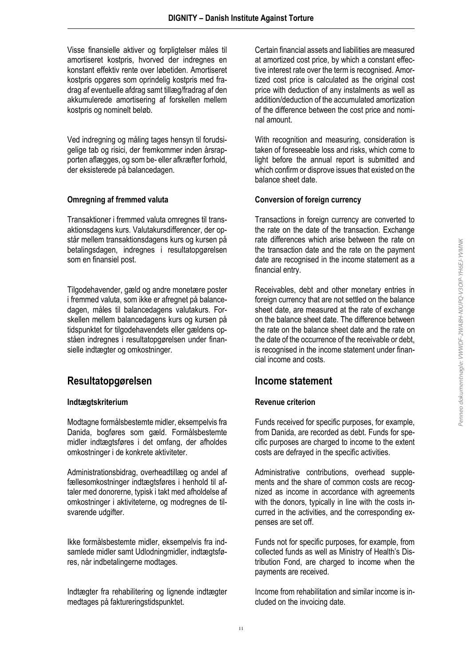Visse finansielle aktiver og forpligtelser måles til amortiseret kostpris, hvorved der indregnes en konstant effektiv rente over løbetiden. Amortiseret kostpris opgøres som oprindelig kostpris med fradrag af eventuelle afdrag samt tillæg/fradrag af den akkumulerede amortisering af forskellen mellem kostpris og nominelt beløb.

Ved indregning og måling tages hensyn til forudsigelige tab og risici, der fremkommer inden årsrapporten aflægges, og som be- eller afkræfter forhold, der eksisterede på balancedagen.

#### **Omregning af fremmed valuta**

Transaktioner i fremmed valuta omregnes til transaktionsdagens kurs. Valutakursdifferencer, der opstår mellem transaktionsdagens kurs og kursen på betalingsdagen, indregnes i resultatopgørelsen som en finansiel post.

Tilgodehavender, gæld og andre monetære poster i fremmed valuta, som ikke er afregnet på balancedagen, måles til balancedagens valutakurs. Forskellen mellem balancedagens kurs og kursen på tidspunktet for tilgodehavendets eller gældens opståen indregnes i resultatopgørelsen under finansielle indtægter og omkostninger.

### **Resultatopgørelsen**

#### **Indtægtskriterium**

Modtagne formålsbestemte midler, eksempelvis fra Danida, bogføres som gæld. Formålsbestemte midler indtægtsføres i det omfang, der afholdes omkostninger i de konkrete aktiviteter.

Administrationsbidrag, overheadtillæg og andel af fællesomkostninger indtægtsføres i henhold til aftaler med donorerne, typisk i takt med afholdelse af omkostninger i aktiviteterne, og modregnes de tilsvarende udgifter.

Ikke formålsbestemte midler, eksempelvis fra indsamlede midler samt Udlodningmidler, indtægtsføres, når indbetalingerne modtages.

Indtægter fra rehabilitering og lignende indtægter medtages på faktureringstidspunktet.

Certain financial assets and liabilities are measured at amortized cost price, by which a constant effective interest rate over the term is recognised. Amortized cost price is calculated as the original cost price with deduction of any instalments as well as addition/deduction of the accumulated amortization of the difference between the cost price and nominal amount.

With recognition and measuring, consideration is taken of foreseeable loss and risks, which come to light before the annual report is submitted and which confirm or disprove issues that existed on the balance sheet date.

#### **Conversion of foreign currency**

Transactions in foreign currency are converted to the rate on the date of the transaction. Exchange rate differences which arise between the rate on the transaction date and the rate on the payment date are recognised in the income statement as a financial entry.

Receivables, debt and other monetary entries in foreign currency that are not settled on the balance sheet date, are measured at the rate of exchange on the balance sheet date. The difference between the rate on the balance sheet date and the rate on the date of the occurrence of the receivable or debt, is recognised in the income statement under financial income and costs.

### **Income statement**

#### **Revenue criterion**

Funds received for specific purposes, for example, from Danida, are recorded as debt. Funds for specific purposes are charged to income to the extent costs are defrayed in the specific activities.

Administrative contributions, overhead supplements and the share of common costs are recognized as income in accordance with agreements with the donors, typically in line with the costs incurred in the activities, and the corresponding expenses are set off.

Funds not for specific purposes, for example, from collected funds as well as Ministry of Health's Distribution Fond, are charged to income when the payments are received.

Income from rehabilitation and similar income is included on the invoicing date.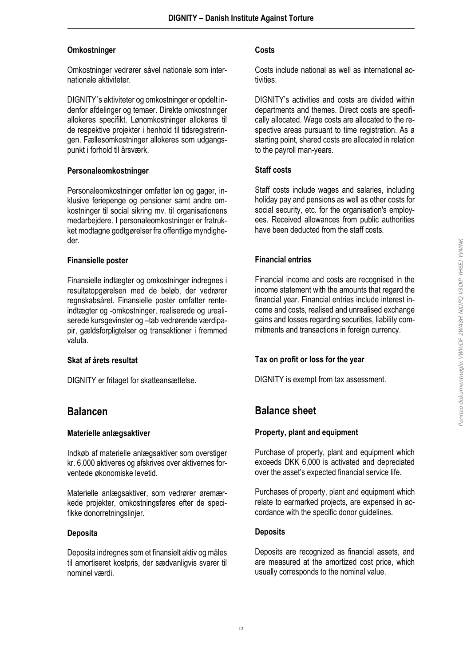#### **Omkostninger**

Omkostninger vedrører såvel nationale som internationale aktiviteter.

DIGNITY´s aktiviteter og omkostninger er opdelt indenfor afdelinger og temaer. Direkte omkostninger allokeres specifikt. Lønomkostninger allokeres til de respektive projekter i henhold til tidsregistreringen. Fællesomkostninger allokeres som udgangspunkt i forhold til årsværk.

#### **Personaleomkostninger**

Personaleomkostninger omfatter løn og gager, inklusive feriepenge og pensioner samt andre omkostninger til social sikring mv. til organisationens medarbejdere. I personaleomkostninger er fratrukket modtagne godtgørelser fra offentlige myndigheder.

#### **Finansielle poster**

Finansielle indtægter og omkostninger indregnes i resultatopgørelsen med de beløb, der vedrører regnskabsåret. Finansielle poster omfatter renteindtægter og -omkostninger, realiserede og urealiserede kursgevinster og -tab vedrørende værdipapir, gældsforpligtelser og transaktioner i fremmed valuta.

#### **Skat af årets resultat**

DIGNITY er fritaget for skatteansættelse.

### **Balancen**

#### **Materielle anlægsaktiver**

Indkøb af materielle anlægsaktiver som overstiger kr. 6.000 aktiveres og afskrives over aktivernes forventede økonomiske levetid.

Materielle anlægsaktiver, som vedrører øremærkede projekter, omkostningsføres efter de specifikke donorretningslinjer.

#### **Deposita**

Deposita indregnes som et finansielt aktiv og måles til amortiseret kostpris, der sædvanligvis svarer til nominel værdi.

#### **Costs**

Costs include national as well as international activities.

DIGNITY's activities and costs are divided within departments and themes. Direct costs are specifically allocated. Wage costs are allocated to the respective areas pursuant to time registration. As a starting point, shared costs are allocated in relation to the payroll man-years.

#### **Staff costs**

Staff costs include wages and salaries, including holiday pay and pensions as well as other costs for social security, etc. for the organisation's employees. Received allowances from public authorities have been deducted from the staff costs.

#### **Financial entries**

Financial income and costs are recognised in the income statement with the amounts that regard the financial year. Financial entries include interest income and costs, realised and unrealised exchange gains and losses regarding securities, liability commitments and transactions in foreign currency.

#### **Tax on profit or loss for the year**

DIGNITY is exempt from tax assessment.

### **Balance sheet**

#### **Property, plant and equipment**

Purchase of property, plant and equipment which exceeds DKK 6,000 is activated and depreciated over the asset's expected financial service life.

Purchases of property, plant and equipment which relate to earmarked projects, are expensed in accordance with the specific donor guidelines.

#### **Deposits**

Deposits are recognized as financial assets, and are measured at the amortized cost price, which usually corresponds to the nominal value.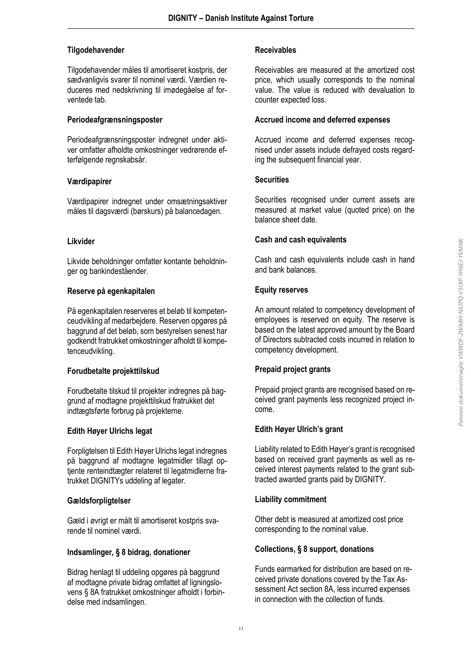#### **Tilgodehavender**

Tilgodehavender måles til amortiseret kostpris, der sædvanligvis svarer til nominel værdi. Værdien reduceres med nedskrivning til imødegåelse af forventede tab.

#### **Periodeafgrænsningsposter**

Periodeafgrænsningsposter indregnet under aktiver omfatter afholdte omkostninger vedrørende efterfølgende regnskabsår.

#### **Værdipapirer**

Værdipapirer indregnet under omsætningsaktiver måles til dagsværdi (børskurs) på balancedagen.

#### **Likvider**

Likvide beholdninger omfatter kontante beholdninger og bankindeståender.

#### **Reserve på egenkapitalen**

På egenkapitalen reserveres et beløb til kompetenceudvikling af medarbejdere. Reserven opgøres på baggrund af det beløb, som bestyrelsen senest har godkendt fratrukket omkostninger afholdt til kompetenceudvikling.

#### **Forudbetalte projekttilskud**

Forudbetalte tilskud til projekter indregnes på baggrund af modtagne projekttilskud fratrukket det indtægtsførte forbrug på projekterne.

#### **Edith Høyer Ulrichs legat**

Forpligtelsen til Edith Høyer Ulrichs legat indregnes på baggrund af modtagne legatmidler tillagt optjente renteindtægter relateret til legatmidlerne fratrukket DIGNITYs uddeling af legater.

#### **Gældsforpligtelser**

Gæld i øvrigt er målt til amortiseret kostpris svarende til nominel værdi.

#### **Indsamlinger, § 8 bidrag, donationer**

Bidrag henlagt til uddeling opgøres på baggrund af modtagne private bidrag omfattet af ligningslovens § 8A fratrukket omkostninger afholdt i forbindelse med indsamlingen.

#### **Receivables**

Receivables are measured at the amortized cost price, which usually corresponds to the nominal value. The value is reduced with devaluation to counter expected loss.

#### **Accrued income and deferred expenses**

Accrued income and deferred expenses recognised under assets include defrayed costs regarding the subsequent financial year.

#### **Securities**

Securities recognised under current assets are measured at market value (quoted price) on the balance sheet date.

#### **Cash and cash equivalents**

Cash and cash equivalents include cash in hand and bank balances.

#### **Equity reserves**

An amount related to competency development of employees is reserved on equity. The reserve is based on the latest approved amount by the Board of Directors subtracted costs incurred in relation to competency development.

#### **Prepaid project grants**

Prepaid project grants are recognised based on received grant payments less recognized project income.

#### **Edith Høyer Ulrich's grant**

Liability related to Edith Høyer's grant is recognised based on received grant payments as well as received interest payments related to the grant subtracted awarded grants paid by DIGNITY.

#### **Liability commitment**

Other debt is measured at amortized cost price corresponding to the nominal value.

#### **Collections, § 8 support, donations**

Funds earmarked for distribution are based on received private donations covered by the Tax Assessment Act section 8A, less incurred expenses in connection with the collection of funds.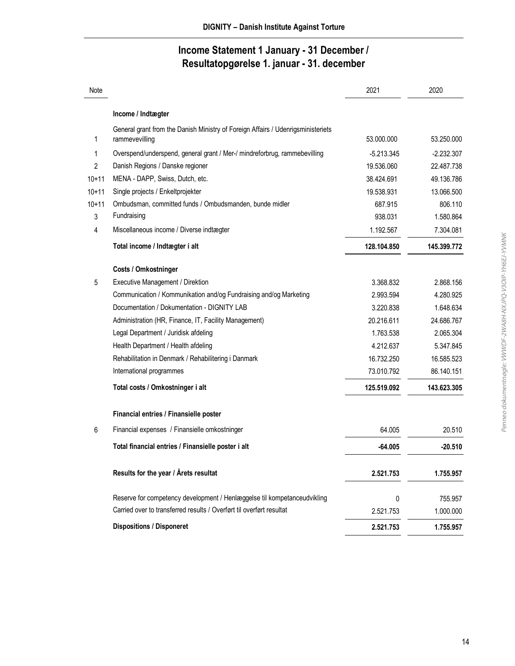### **Income Statement 1 January - 31 December / Resultatopgørelse 1. januar - 31. december**

| Note           |                                                                                  | 2021         | 2020         |
|----------------|----------------------------------------------------------------------------------|--------------|--------------|
|                | Income / Indtægter                                                               |              |              |
|                | General grant from the Danish Ministry of Foreign Affairs / Udenrigsministeriets |              |              |
| 1              | rammevevilling                                                                   | 53.000.000   | 53.250.000   |
| 1              | Overspend/underspend, general grant / Mer-/ mindreforbrug, rammebevilling        | $-5.213.345$ | $-2.232.307$ |
| $\overline{2}$ | Danish Regions / Danske regioner                                                 | 19.536.060   | 22.487.738   |
| $10 + 11$      | MENA - DAPP, Swiss, Dutch, etc.                                                  | 38.424.691   | 49.136.786   |
| $10 + 11$      | Single projects / Enkeltprojekter                                                | 19.538.931   | 13.066.500   |
| $10 + 11$      | Ombudsman, committed funds / Ombudsmanden, bunde midler                          | 687.915      | 806.110      |
| 3              | Fundraising                                                                      | 938.031      | 1.580.864    |
| 4              | Miscellaneous income / Diverse indtægter                                         | 1.192.567    | 7.304.081    |
|                | Total income / Indtægter i alt                                                   | 128.104.850  | 145.399.772  |
|                | Costs / Omkostninger                                                             |              |              |
| 5              | Executive Management / Direktion                                                 | 3.368.832    | 2.868.156    |
|                | Communication / Kommunikation and/og Fundraising and/og Marketing                | 2.993.594    | 4.280.925    |
|                | Documentation / Dokumentation - DIGNITY LAB                                      | 3.220.838    | 1.648.634    |
|                | Administration (HR, Finance, IT, Facility Management)                            | 20.216.611   | 24.686.767   |
|                | Legal Department / Juridisk afdeling                                             | 1.763.538    | 2.065.304    |
|                | Health Department / Health afdeling                                              | 4.212.637    | 5.347.845    |
|                | Rehabilitation in Denmark / Rehabilitering i Danmark                             | 16.732.250   | 16.585.523   |
|                | International programmes                                                         | 73.010.792   | 86.140.151   |
|                | Total costs / Omkostninger i alt                                                 | 125.519.092  | 143.623.305  |
|                | Financial entries / Finansielle poster                                           |              |              |
| 6              | Financial expenses / Finansielle omkostninger                                    | 64.005       | 20.510       |
|                | Total financial entries / Finansielle poster i alt                               | $-64.005$    | $-20.510$    |
|                | Results for the year / Årets resultat                                            | 2.521.753    | 1.755.957    |
|                | Reserve for competency development / Henlæggelse til kompetanceudvikling         | 0            | 755.957      |
|                | Carried over to transferred results / Overført til overført resultat             | 2.521.753    | 1.000.000    |
|                | <b>Dispositions / Disponeret</b>                                                 | 2.521.753    | 1.755.957    |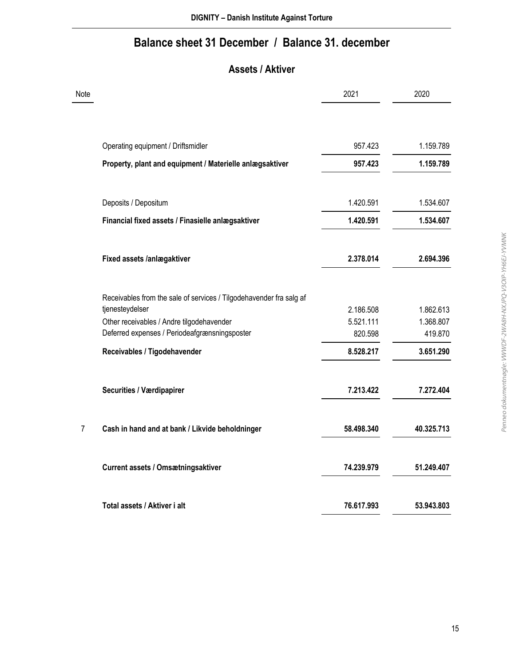### **Balance sheet 31 December / Balance 31. december**

### **Assets / Aktiver**

| Note |                                                                                            | 2021                              | 2020                              |
|------|--------------------------------------------------------------------------------------------|-----------------------------------|-----------------------------------|
|      |                                                                                            |                                   |                                   |
|      | Operating equipment / Driftsmidler                                                         | 957.423                           | 1.159.789                         |
|      | Property, plant and equipment / Materielle anlægsaktiver                                   | 957.423                           | 1.159.789                         |
|      | Deposits / Depositum                                                                       | 1.420.591                         | 1.534.607                         |
|      | Financial fixed assets / Finasielle anlægsaktiver                                          | 1.420.591                         | 1.534.607                         |
|      | Fixed assets /anlægaktiver                                                                 | 2.378.014                         | 2.694.396                         |
|      | Receivables from the sale of services / Tilgodehavender fra salg af<br>tjenesteydelser     |                                   |                                   |
|      | Other receivables / Andre tilgodehavender<br>Deferred expenses / Periodeafgrænsningsposter | 2.186.508<br>5.521.111<br>820.598 | 1.862.613<br>1.368.807<br>419.870 |
|      | Receivables / Tigodehavender                                                               | 8.528.217                         | 3.651.290                         |
|      | <b>Securities / Værdipapirer</b>                                                           | 7.213.422                         | 7.272.404                         |
| 7    | Cash in hand and at bank / Likvide beholdninger                                            | 58.498.340                        | 40.325.713                        |
|      | <b>Current assets / Omsætningsaktiver</b>                                                  | 74.239.979                        | 51.249.407                        |
|      | Total assets / Aktiver i alt                                                               | 76.617.993                        | 53.943.803                        |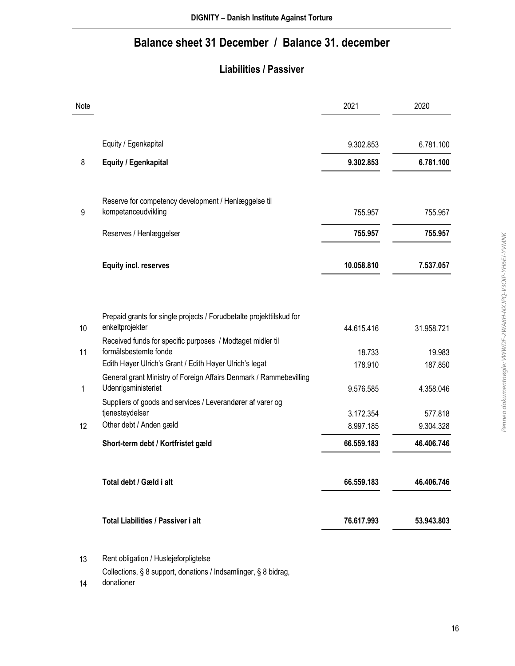### **Balance sheet 31 December / Balance 31. december**

### **Liabilities / Passiver**

| Note |                                                                                           | 2021              | 2020              |
|------|-------------------------------------------------------------------------------------------|-------------------|-------------------|
|      |                                                                                           |                   |                   |
|      | Equity / Egenkapital                                                                      | 9.302.853         | 6.781.100         |
| 8    | Equity / Egenkapital                                                                      | 9.302.853         | 6.781.100         |
|      | Reserve for competency development / Henlæggelse til                                      |                   |                   |
| 9    | kompetanceudvikling                                                                       | 755.957           | 755.957           |
|      | Reserves / Henlæggelser                                                                   | 755.957           | 755.957           |
|      | <b>Equity incl. reserves</b>                                                              | 10.058.810        | 7.537.057         |
|      |                                                                                           |                   |                   |
| 10   | Prepaid grants for single projects / Forudbetalte projekttilskud for<br>enkeltprojekter   | 44.615.416        | 31.958.721        |
|      | Received funds for specific purposes / Modtaget midler til<br>formålsbestemte fonde       |                   |                   |
| 11   | Edith Høyer Ulrich's Grant / Edith Høyer Ulrich's legat                                   | 18.733<br>178.910 | 19.983<br>187.850 |
| 1    | General grant Ministry of Foreign Affairs Denmark / Rammebevilling<br>Udenrigsministeriet | 9.576.585         | 4.358.046         |
|      | Suppliers of goods and services / Leverandører af varer og                                |                   |                   |
|      | tjenesteydelser                                                                           | 3.172.354         | 577.818           |
| 12   | Other debt / Anden gæld                                                                   | 8.997.185         | 9.304.328         |
|      | Short-term debt / Kortfristet gæld                                                        | 66.559.183        | 46.406.746        |
|      | Total debt / Gæld i alt                                                                   | 66.559.183        | 46.406.746        |
|      | Total Liabilities / Passiver i alt                                                        | 76.617.993        | 53.943.803        |
|      | Dont obligation / Hughisforpliateles                                                      |                   |                   |

13 Rent obligation / Huslejeforpligtelse

Collections, § 8 support, donations / Indsamlinger, § 8 bidrag,

14 donationer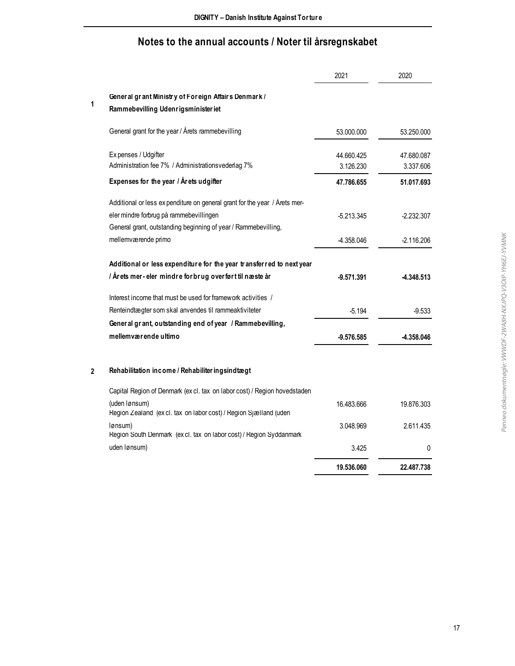**1**

**2**

|                                                                                    | 2021         | 2020         |
|------------------------------------------------------------------------------------|--------------|--------------|
| General grant Ministry of Foreign Affairs Denmark /                                |              |              |
| Rammebevilling Udenrigsministeriet                                                 |              |              |
| General grant for the year / Årets rammebevilling                                  | 53.000.000   | 53.250.000   |
| Expenses / Udgifter                                                                | 44.660.425   | 47.680.087   |
| Administration fee 7% / Administrationsvederlag 7%                                 | 3.126.230    | 3.337.606    |
| Expenses for the year / Årets udgifter                                             | 47.786.655   | 51.017.693   |
| Additional or less expenditure on general grant for the year / Arets mer-          |              |              |
| eler mindre forbrug på rammebevillingen                                            | $-5.213.345$ | $-2.232.307$ |
| General grant, outstanding beginning of year / Rammebevilling,                     |              |              |
| mellemværende primo                                                                | -4.358.046   | $-2.116.206$ |
| Additional or less expenditure for the year transferred to next year               |              |              |
| / Årets mer-eler mindre forbrug overført til næste år                              | $-9.571.391$ | $-4.348.513$ |
| Interest income that must be used for framework activities /                       |              |              |
| Renteindtægter som skal anvendes til rammeaktiviteter                              | $-5.194$     | $-9.533$     |
| General grant, outstanding end of year / Rammebevilling,                           |              |              |
| mellemværende ultimo                                                               | $-9.576.585$ | -4.358.046   |
| Rehabilitation income / Rehabiliter ingsindtægt                                    |              |              |
| Capital Region of Denmark (ex cl. tax on labor cost) / Region hovedstaden          |              |              |
| (uden lønsum)<br>Region Zealand (ex cl. tax on labor cost) / Region Sjælland (uden | 16.483.666   | 19.876.303   |
| lønsum)<br>Region South Denmark (ex cl. tax on labor cost) / Region Syddanmark     | 3.048.969    | 2.611.435    |
| uden lønsum)                                                                       | 3.425        | $\Omega$     |
|                                                                                    | 19.536.060   | 22.487.738   |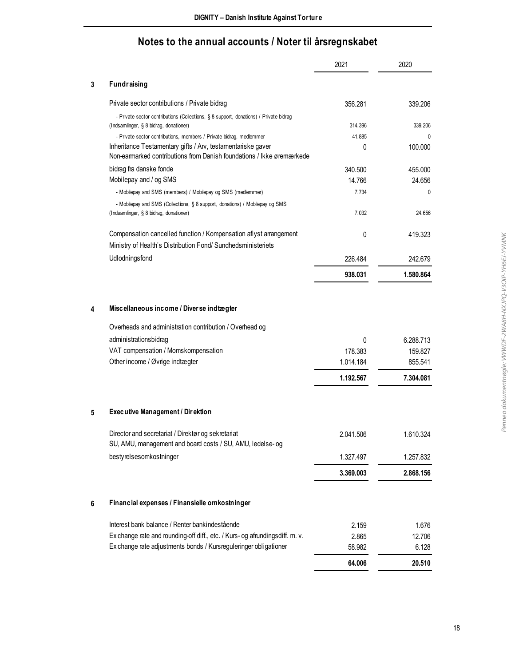|   |                                                                                                                                                            | 2021                                   | 2020                                         |
|---|------------------------------------------------------------------------------------------------------------------------------------------------------------|----------------------------------------|----------------------------------------------|
| 3 | <b>Fundraising</b>                                                                                                                                         |                                        |                                              |
|   | Private sector contributions / Private bidrag                                                                                                              | 356.281                                | 339.206                                      |
|   | - Private sector contributions (Collections, § 8 support, donations) / Private bidrag                                                                      |                                        |                                              |
|   | (Indsamlinger, § 8 bidrag, donationer)                                                                                                                     | 314.396                                | 339.206                                      |
|   | - Private sector contributions, members / Private bidrag, medlemmer                                                                                        | 41.885                                 | 0                                            |
|   | Inheritance Testamentary gifts / Arv, testamentariske gaver<br>Non-earmarked contributions from Danish foundations / Ikke øremærkede                       | 0                                      | 100.000                                      |
|   | bidrag fra danske fonde                                                                                                                                    |                                        |                                              |
|   | Mobilepay and / og SMS                                                                                                                                     | 340.500<br>14.766                      | 455.000<br>24.656                            |
|   |                                                                                                                                                            | 7.734                                  | 0                                            |
|   | - Mobilepay and SMS (members) / Mobilepay og SMS (medlemmer)                                                                                               |                                        |                                              |
|   | - Mobilepay and SMS (Collections, § 8 support, donations) / Mobilepay og SMS<br>(Indsamlinger, § 8 bidrag, donationer)                                     | 7.032                                  | 24.656                                       |
|   | Compensation cancelled function / Kompensation aflyst arrangement                                                                                          | 0                                      | 419.323                                      |
|   | Ministry of Health's Distribution Fond/ Sundhedsministeriets                                                                                               |                                        |                                              |
|   | Udlodningsfond                                                                                                                                             | 226.484                                | 242.679                                      |
|   |                                                                                                                                                            | 938.031                                | 1.580.864                                    |
|   | Overheads and administration contribution / Overhead og<br>administrationsbidrag<br>VAT compensation / Momskompensation<br>Other income / Øvrige indtægter | 0<br>178.383<br>1.014.184<br>1.192.567 | 6.288.713<br>159.827<br>855.541<br>7.304.081 |
| 5 | Executive Management / Direktion                                                                                                                           |                                        |                                              |
|   |                                                                                                                                                            |                                        |                                              |
|   | Director and secretariat / Direktør og sekretariat<br>SU, AMU, management and board costs / SU, AMU, ledelse- og                                           | 2.041.506                              | 1.610.324                                    |
|   | bestyrelsesomkostninger                                                                                                                                    | 1.327.497                              | 1.257.832                                    |
|   |                                                                                                                                                            | 3.369.003                              | 2.868.156                                    |
| 6 | Financial expenses / Finansielle omkostninger                                                                                                              |                                        |                                              |
|   | Interest bank balance / Renter bankindestående                                                                                                             | 2.159                                  | 1.676                                        |
|   | Ex change rate and rounding-off diff., etc. / Kurs- og afrundingsdiff. m. v.                                                                               | 2.865                                  | 12.706                                       |
|   | Ex change rate adjustments bonds / Kursreguleringer obligationer                                                                                           | 58.982                                 | 6.128                                        |
|   |                                                                                                                                                            | 64.006                                 | 20.510                                       |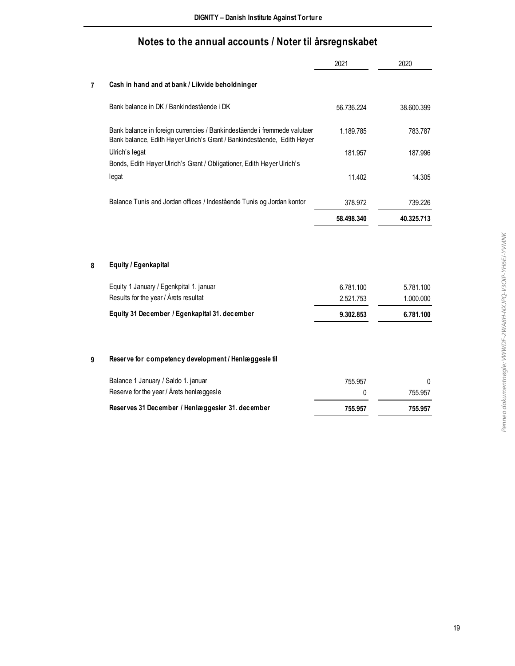|                                                                                                                                                     | 2021         | 2020         |
|-----------------------------------------------------------------------------------------------------------------------------------------------------|--------------|--------------|
| Cash in hand and at bank / Likvide beholdninger<br>$\overline{7}$                                                                                   |              |              |
| Bank balance in DK / Bankindestående i DK                                                                                                           | 56.736.224   | 38.600.399   |
| Bank balance in foreign currencies / Bankindestående i fremmede valutaer<br>Bank balance, Edith Høyer Ulrich's Grant / Bankindestående, Edith Høyer | 1.189.785    | 783.787      |
| Ulrich's legat<br>Bonds, Edith Høyer Ulrich's Grant / Obligationer, Edith Høyer Ulrich's                                                            | 181.957      | 187.996      |
| legat                                                                                                                                               | 11.402       | 14.305       |
| Balance Tunis and Jordan offices / Indestående Tunis og Jordan kontor                                                                               | 378.972      | 739.226      |
|                                                                                                                                                     | 58.498.340   | 40.325.713   |
| Equity / Egenkapital<br>8                                                                                                                           |              |              |
| Equity 1 January / Egenkpital 1. januar                                                                                                             | 6.781.100    | 5.781.100    |
| Results for the year / Årets resultat                                                                                                               | 2.521.753    | 1.000.000    |
| Equity 31 December / Egenkapital 31. december                                                                                                       | 9.302.853    | 6.781.100    |
| Reserve for competency development / Henlæggesle til<br>9                                                                                           |              |              |
| Balance 1 January / Saldo 1. januar<br>Reserve for the year / Årets henlæggesle                                                                     | 755.957<br>0 | 0<br>755.957 |
| Reserves 31 December / Henlæggesler 31. december                                                                                                    | 755.957      | 755.957      |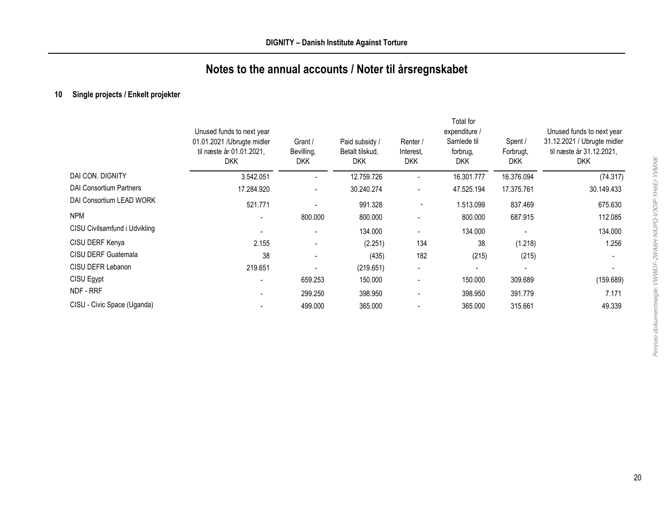|                                | Unused funds to next year                                             | Grant /                  | Paid subsidy /                | Renter /                 | Total for<br>expenditure /<br>Samlede til |                                    | Unused funds to next year                                             |
|--------------------------------|-----------------------------------------------------------------------|--------------------------|-------------------------------|--------------------------|-------------------------------------------|------------------------------------|-----------------------------------------------------------------------|
|                                | 01.01.2021 / Ubrugte midler<br>til næste år 01.01.2021,<br><b>DKK</b> | Bevilling,<br>DKK        | Betalt tilskud,<br><b>DKK</b> | Interest.<br><b>DKK</b>  | forbrug,<br><b>DKK</b>                    | Spent /<br>Forbrugt,<br><b>DKK</b> | 31.12.2021 / Ubrugte midler<br>til næste år 31.12.2021,<br><b>DKK</b> |
| DAI CON. DIGNITY               | 3.542.051                                                             |                          | 12.759.726                    | $\overline{a}$           | 16.301.777                                | 16.376.094                         | (74.317)                                                              |
| <b>DAI Consortium Partners</b> | 17.284.920                                                            | $\blacksquare$           | 30.240.274                    | $\blacksquare$           | 47.525.194                                | 17.375.761                         | 30.149.433                                                            |
| DAI Consortium LEAD WORK       | 521.771                                                               |                          | 991.328                       | $\overline{\phantom{a}}$ | 1.513.099                                 | 837.469                            | 675.630                                                               |
| <b>NPM</b>                     |                                                                       | 800.000                  | 800.000                       |                          | 800.000                                   | 687.915                            | 112.085                                                               |
| CISU Civilsamfund i Udvikling  |                                                                       | $\overline{\phantom{a}}$ | 134.000                       |                          | 134.000                                   |                                    | 134.000                                                               |
| CISU DERF Kenya                | 2.155                                                                 | $\blacksquare$           | (2.251)                       | 134                      | 38                                        | (1.218)                            | 1.256                                                                 |
| CISU DERF Guatemala            | 38                                                                    | $\overline{\phantom{a}}$ | (435)                         | 182                      | (215)                                     | (215)                              |                                                                       |
| CISU DEFR Lebanon              | 219.651                                                               |                          | (219.651)                     | $\blacksquare$           | $\overline{\phantom{0}}$                  | ۰                                  |                                                                       |
| CISU Egypt                     | $\overline{\phantom{a}}$                                              | 659.253                  | 150.000                       | $\blacksquare$           | 150.000                                   | 309.689                            | (159.689)                                                             |
| NDF - RRF                      |                                                                       | 299.250                  | 398.950                       | $\blacksquare$           | 398.950                                   | 391.779                            | 7.171                                                                 |
| CISU - Civic Space (Uganda)    |                                                                       | 499.000                  | 365.000                       |                          | 365.000                                   | 315.661                            | 49.339                                                                |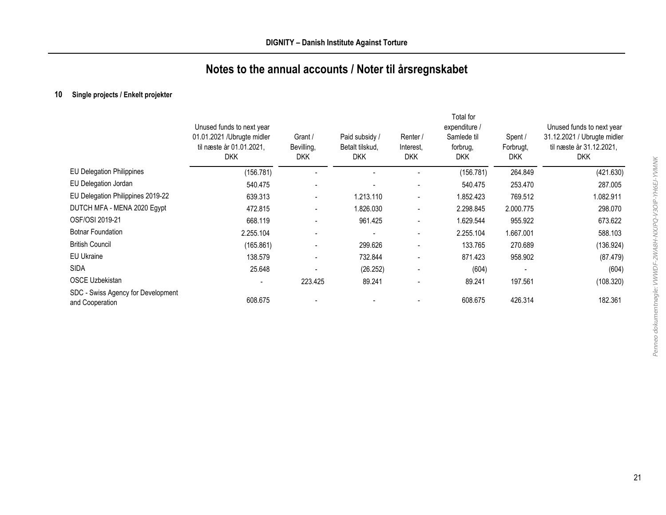|                                                       | Unused funds to next year<br>01.01.2021 / Ubrugte midler<br>til næste år 01.01.2021,<br><b>DKK</b> | Grant /<br>Bevilling,<br><b>DKK</b> | Paid subsidy /<br>Betalt tilskud,<br><b>DKK</b> | Renter /<br>Interest.<br><b>DKK</b> | Total for<br>expenditure /<br>Samlede til<br>forbrug,<br><b>DKK</b> | Spent /<br>Forbrugt,<br><b>DKK</b> | Unused funds to next year<br>31.12.2021 / Ubrugte midler<br>til næste år 31.12.2021,<br><b>DKK</b> |
|-------------------------------------------------------|----------------------------------------------------------------------------------------------------|-------------------------------------|-------------------------------------------------|-------------------------------------|---------------------------------------------------------------------|------------------------------------|----------------------------------------------------------------------------------------------------|
| <b>EU Delegation Philippines</b>                      | (156.781)                                                                                          |                                     |                                                 |                                     | (156.781)                                                           | 264.849                            | (421.630)                                                                                          |
| EU Delegation Jordan                                  | 540.475                                                                                            |                                     |                                                 |                                     | 540.475                                                             | 253.470                            | 287.005                                                                                            |
| EU Delegation Philippines 2019-22                     | 639.313                                                                                            |                                     | 1.213.110                                       |                                     | 1.852.423                                                           | 769.512                            | 1.082.911                                                                                          |
| DUTCH MFA - MENA 2020 Egypt                           | 472.815                                                                                            | $\overline{\phantom{a}}$            | 1.826.030                                       |                                     | 2.298.845                                                           | 2.000.775                          | 298.070                                                                                            |
| OSF/OSI 2019-21                                       | 668.119                                                                                            |                                     | 961.425                                         | $\overline{\phantom{0}}$            | 1.629.544                                                           | 955.922                            | 673.622                                                                                            |
| <b>Botnar Foundation</b>                              | 2.255.104                                                                                          |                                     |                                                 |                                     | 2.255.104                                                           | 1.667.001                          | 588.103                                                                                            |
| <b>British Council</b>                                | (165.861)                                                                                          | $\overline{\phantom{a}}$            | 299.626                                         |                                     | 133.765                                                             | 270.689                            | (136.924)                                                                                          |
| EU Ukraine                                            | 138.579                                                                                            |                                     | 732.844                                         |                                     | 871.423                                                             | 958.902                            | (87.479)                                                                                           |
| <b>SIDA</b>                                           | 25.648                                                                                             |                                     | (26.252)                                        |                                     | (604)                                                               |                                    | (604)                                                                                              |
| OSCE Uzbekistan                                       | $\overline{\phantom{0}}$                                                                           | 223.425                             | 89.241                                          |                                     | 89.241                                                              | 197.561                            | (108.320)                                                                                          |
| SDC - Swiss Agency for Development<br>and Cooperation | 608.675                                                                                            |                                     |                                                 |                                     | 608.675                                                             | 426.314                            | 182.361                                                                                            |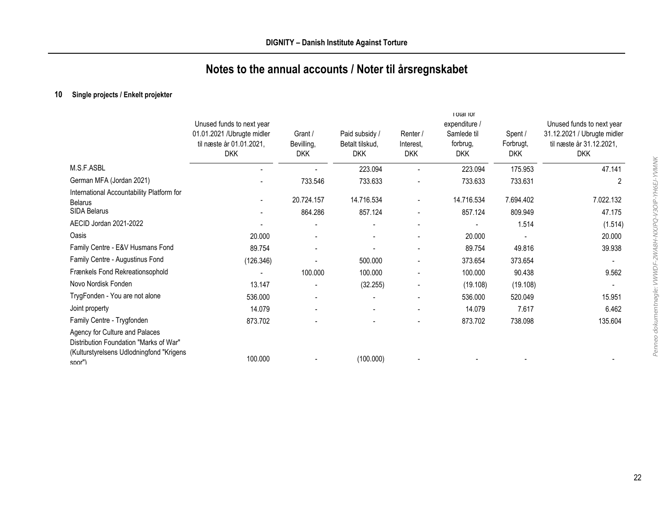|                                                                          |                                                        |                          |                                   |                          | <b>TOTAL TOT</b>        |                      |                                                         |
|--------------------------------------------------------------------------|--------------------------------------------------------|--------------------------|-----------------------------------|--------------------------|-------------------------|----------------------|---------------------------------------------------------|
|                                                                          | Unused funds to next year                              |                          |                                   |                          | expenditure /           |                      | Unused funds to next year                               |
|                                                                          | 01.01.2021 /Ubrugte midler<br>til næste år 01.01.2021, | Grant /<br>Bevilling,    | Paid subsidy /<br>Betalt tilskud, | Renter /<br>Interest.    | Samlede til<br>forbrug, | Spent /<br>Forbrugt, | 31.12.2021 / Ubrugte midler<br>til næste år 31.12.2021, |
|                                                                          | <b>DKK</b>                                             | <b>DKK</b>               | <b>DKK</b>                        | <b>DKK</b>               | <b>DKK</b>              | <b>DKK</b>           | <b>DKK</b>                                              |
| M.S.F.ASBL                                                               |                                                        |                          | 223.094                           |                          | 223.094                 | 175.953              | 47.141                                                  |
| German MFA (Jordan 2021)                                                 |                                                        | 733.546                  | 733.633                           |                          | 733.633                 | 733.631              | 2                                                       |
| International Accountability Platform for                                |                                                        |                          |                                   |                          |                         |                      |                                                         |
| <b>Belarus</b>                                                           |                                                        | 20.724.157               | 14.716.534                        |                          | 14.716.534              | 7.694.402            | 7.022.132                                               |
| SIDA Belarus                                                             |                                                        | 864.286                  | 857.124                           |                          | 857.124                 | 809.949              | 47.175                                                  |
| AECID Jordan 2021-2022                                                   |                                                        |                          |                                   | $\overline{\phantom{0}}$ |                         | 1.514                | (1.514)                                                 |
| Oasis                                                                    | 20,000                                                 |                          |                                   |                          | 20.000                  |                      | 20.000                                                  |
| Family Centre - E&V Husmans Fond                                         | 89.754                                                 | $\blacksquare$           |                                   | $\blacksquare$           | 89.754                  | 49.816               | 39.938                                                  |
| Family Centre - Augustinus Fond                                          | (126.346)                                              |                          | 500.000                           |                          | 373.654                 | 373.654              | $\overline{\phantom{a}}$                                |
| Frænkels Fond Rekreationsophold                                          |                                                        | 100.000                  | 100.000                           |                          | 100.000                 | 90.438               | 9.562                                                   |
| Novo Nordisk Fonden                                                      | 13.147                                                 |                          | (32.255)                          |                          | (19.108)                | (19.108)             |                                                         |
| TrygFonden - You are not alone                                           | 536.000                                                | $\overline{\phantom{a}}$ |                                   | $\blacksquare$           | 536.000                 | 520.049              | 15.951                                                  |
| Joint property                                                           | 14.079                                                 |                          |                                   |                          | 14.079                  | 7.617                | 6.462                                                   |
| Family Centre - Trygfonden                                               | 873.702                                                |                          |                                   |                          | 873.702                 | 738.098              | 135.604                                                 |
| Agency for Culture and Palaces<br>Distribution Foundation "Marks of War" |                                                        |                          |                                   |                          |                         |                      |                                                         |
| (Kulturstyrelsens Udlodningfond "Krigens<br>spor")                       | 100.000                                                |                          | (100.000)                         |                          |                         |                      |                                                         |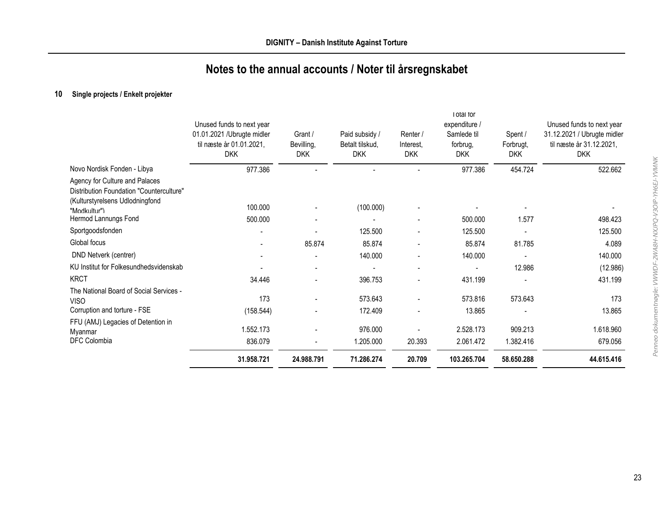|                                                                            |                                                         |                          |                        |                         | I otal tor                   |                         |                                                          |
|----------------------------------------------------------------------------|---------------------------------------------------------|--------------------------|------------------------|-------------------------|------------------------------|-------------------------|----------------------------------------------------------|
|                                                                            | Unused funds to next year<br>01.01.2021 /Ubrugte midler | Grant /                  | Paid subsidy /         | Renter /                | expenditure /<br>Samlede til | Spent /                 | Unused funds to next year<br>31.12.2021 / Ubrugte midler |
|                                                                            | til næste år 01.01.2021,<br><b>DKK</b>                  | Bevilling,<br><b>DKK</b> | Betalt tilskud,<br>DKK | Interest,<br><b>DKK</b> | forbrug,<br><b>DKK</b>       | Forbrugt,<br><b>DKK</b> | til næste år 31.12.2021,<br><b>DKK</b>                   |
| Novo Nordisk Fonden - Libya                                                | 977.386                                                 |                          |                        |                         | 977.386                      | 454.724                 | 522.662                                                  |
| Agency for Culture and Palaces<br>Distribution Foundation "Counterculture" |                                                         |                          |                        |                         |                              |                         |                                                          |
| (Kulturstyrelsens Udlodningfond<br>"Modkultur")                            | 100.000                                                 |                          | (100.000)              |                         |                              |                         |                                                          |
| Hermod Lannungs Fond                                                       | 500.000                                                 |                          |                        |                         | 500.000                      | 1.577                   | 498.423                                                  |
| Sportgoodsfonden                                                           |                                                         |                          | 125.500                |                         | 125.500                      |                         | 125.500                                                  |
| Global focus                                                               |                                                         | 85.874                   | 85.874                 |                         | 85.874                       | 81.785                  | 4.089                                                    |
| DND Netverk (centrer)                                                      |                                                         |                          | 140.000                |                         | 140.000                      |                         | 140.000                                                  |
| KU Institut for Folkesundhedsvidenskab                                     |                                                         |                          |                        |                         |                              | 12.986                  | (12.986)                                                 |
| <b>KRCT</b>                                                                | 34.446                                                  |                          | 396.753                |                         | 431.199                      |                         | 431.199                                                  |
| The National Board of Social Services -<br><b>VISO</b>                     | 173                                                     |                          | 573.643                |                         | 573.816                      | 573.643                 | 173                                                      |
| Corruption and torture - FSE                                               | (158.544)                                               |                          | 172.409                |                         | 13.865                       |                         | 13.865                                                   |
| FFU (AMJ) Legacies of Detention in<br>Myanmar                              | 1.552.173                                               |                          | 976.000                |                         | 2.528.173                    | 909.213                 | 1.618.960                                                |
| DFC Colombia                                                               | 836.079                                                 |                          | 1.205.000              | 20.393                  | 2.061.472                    | 1.382.416               | 679.056                                                  |
|                                                                            | 31.958.721                                              | 24.988.791               | 71.286.274             | 20.709                  | 103.265.704                  | 58.650.288              | 44.615.416                                               |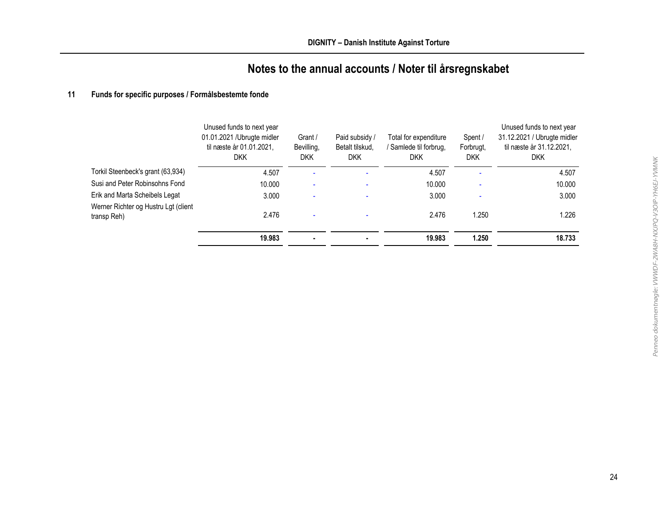#### **11 Funds for specific purposes / Formålsbestemte fonde**

|                                                     | Unused funds to next year<br>01.01.2021 /Ubrugte midler<br>til næste år 01.01.2021,<br><b>DKK</b> | Grant /<br>Bevilling,<br><b>DKK</b> | Paid subsidy /<br>Betalt tilskud,<br><b>DKK</b> | Total for expenditure<br>Samlede til forbrug,<br><b>DKK</b> | Spent /<br>Forbrugt,<br><b>DKK</b> | Unused funds to next year<br>31.12.2021 / Ubrugte midler<br>til næste år 31.12.2021,<br><b>DKK</b> |
|-----------------------------------------------------|---------------------------------------------------------------------------------------------------|-------------------------------------|-------------------------------------------------|-------------------------------------------------------------|------------------------------------|----------------------------------------------------------------------------------------------------|
| Torkil Steenbeck's grant (63,934)                   | 4.507                                                                                             | $\overline{\phantom{0}}$            |                                                 | 4.507                                                       | ÷                                  | 4.507                                                                                              |
| Susi and Peter Robinsohns Fond                      | 10.000                                                                                            |                                     |                                                 | 10.000                                                      | ÷                                  | 10.000                                                                                             |
| Erik and Marta Scheibels Legat                      | 3.000                                                                                             |                                     |                                                 | 3.000                                                       | ۰                                  | 3.000                                                                                              |
| Werner Richter og Hustru Lgt (client<br>transp Reh) | 2.476                                                                                             |                                     |                                                 | 2.476                                                       | 1.250                              | 1.226                                                                                              |
|                                                     | 19.983                                                                                            |                                     |                                                 | 19.983                                                      | 1.250                              | 18.733                                                                                             |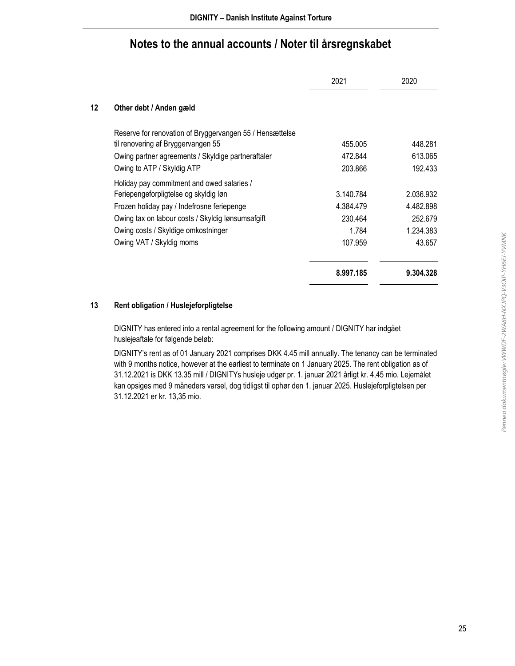|    |                                                          | 2021      | 2020      |
|----|----------------------------------------------------------|-----------|-----------|
| 12 | Other debt / Anden gæld                                  |           |           |
|    | Reserve for renovation of Bryggervangen 55 / Hensættelse |           |           |
|    | til renovering af Bryggervangen 55                       | 455.005   | 448.281   |
|    | Owing partner agreements / Skyldige partneraftaler       | 472.844   | 613.065   |
|    | Owing to ATP / Skyldig ATP                               | 203.866   | 192.433   |
|    | Holiday pay commitment and owed salaries /               |           |           |
|    | Feriepengeforpligtelse og skyldig løn                    | 3.140.784 | 2.036.932 |
|    | Frozen holiday pay / Indefrosne feriepenge               | 4.384.479 | 4.482.898 |
|    | Owing tax on labour costs / Skyldig lønsumsafgift        | 230.464   | 252.679   |
|    | Owing costs / Skyldige omkostninger                      | 1.784     | 1.234.383 |
|    | Owing VAT / Skyldig moms                                 | 107.959   | 43.657    |
|    |                                                          | 8.997.185 | 9.304.328 |
|    |                                                          |           |           |

#### **13 Rent obligation / Huslejeforpligtelse**

DIGNITY has entered into a rental agreement for the following amount / DIGNITY har indgået huslejeaftale for følgende beløb:

DIGNITY's rent as of 01 January 2021 comprises DKK 4.45 mill annually. The tenancy can be terminated with 9 months notice, however at the earliest to terminate on 1 January 2025. The rent obligation as of 31.12.2021 is DKK 13.35 mill / DIGNITYs husleje udgør pr. 1. januar 2021 årligt kr. 4,45 mio. Lejemålet kan opsiges med 9 måneders varsel, dog tidligst til ophør den 1. januar 2025. Huslejeforpligtelsen per 31.12.2021 er kr. 13,35 mio.